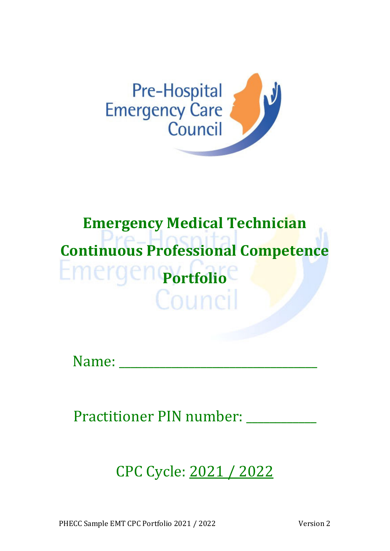

## **Emergency Medical Technician Continuous Professional Competence Portfolio** Counci

Name:

Practitioner PIN number: \_\_\_\_\_\_\_

CPC Cycle: 2021 / 2022

PHECC Sample EMT CPC Portfolio 2021 / 2022 Version 2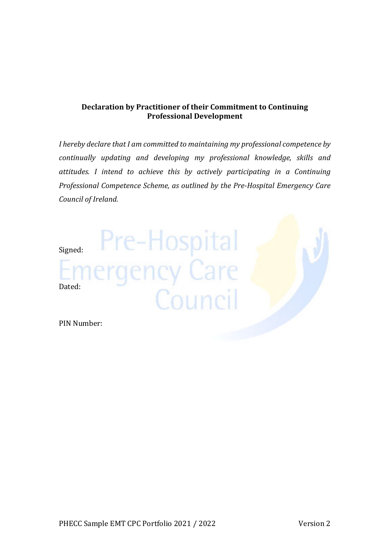#### **Declaration by Practitioner of their Commitment to Continuing Professional Development**

*I hereby declare that I am committed to maintaining my professional competence by continually updating and developing my professional knowledge, skills and attitudes. I intend to achieve this by actively participating in a Continuing Professional Competence Scheme, as outlined by the Pre‐Hospital Emergency Care Council of Ireland.*

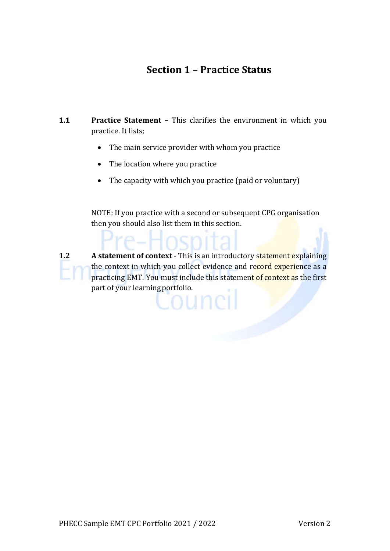#### **Section 1 – Practice Status**

- **1.1 Practice Statement –** This clarifies the environment in which you practice. It lists;
	- The main service provider with whom you practice
	- The location where you practice
	- The capacity with which you practice (paid or voluntary)

 NOTE: If you practice with a second or subsequent CPG organisation then you should also list them in this section.

**1.2 A statement of context ·** This is an introductory **statement explaining** the context in which you collect evidence and record experience as a practicing EMT. You must include this statement of context as the first part of your learning portfolio.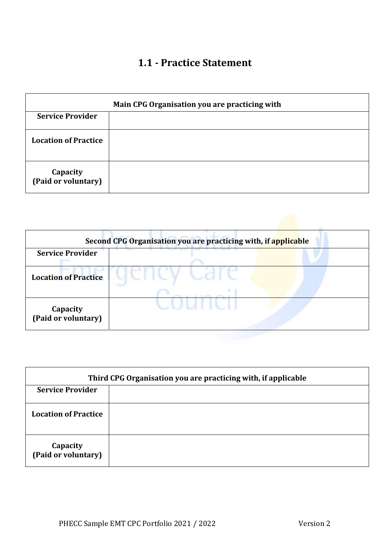#### **1.1 ‐ Practice Statement**

| Main CPG Organisation you are practicing with |  |  |
|-----------------------------------------------|--|--|
| <b>Service Provider</b>                       |  |  |
| <b>Location of Practice</b>                   |  |  |
| Capacity<br>(Paid or voluntary)               |  |  |

|                                 | Second CPG Organisation you are practicing with, if applicable |
|---------------------------------|----------------------------------------------------------------|
| <b>Service Provider</b>         |                                                                |
| <b>Location of Practice</b>     |                                                                |
|                                 |                                                                |
| Capacity<br>(Paid or voluntary) |                                                                |

| Third CPG Organisation you are practicing with, if applicable |  |  |
|---------------------------------------------------------------|--|--|
| <b>Service Provider</b>                                       |  |  |
| <b>Location of Practice</b>                                   |  |  |
| Capacity<br>(Paid or voluntary)                               |  |  |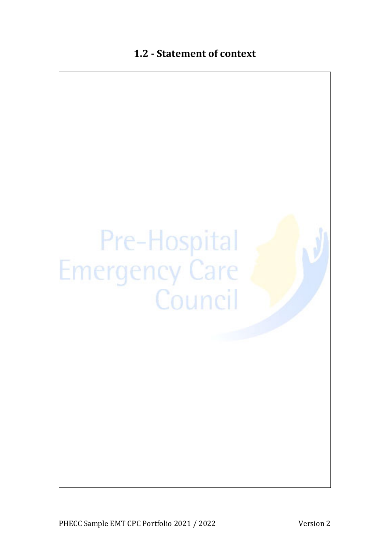#### **1.2 ‐ Statement of context**

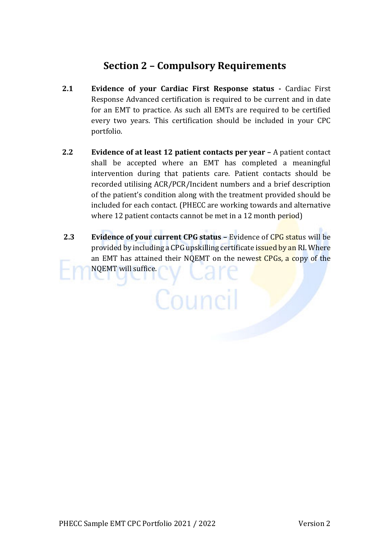#### **Section 2 – Compulsory Requirements**

- **2.1 Evidence of your Cardiac First Response status ‐**  Cardiac First Response Advanced certification is required to be current and in date for an EMT to practice. As such all EMTs are required to be certified every two years. This certification should be included in your CPC portfolio.
- **2.2 Evidence of at least 12 patient contacts per year –** A patient contact shall be accepted where an EMT has completed a meaningful intervention during that patients care. Patient contacts should be recorded utilising ACR/PCR/Incident numbers and a brief description of the patient's condition along with the treatment provided should be included for each contact. (PHECC are working towards and alternative where 12 patient contacts cannot be met in a 12 month period)
- **2.3 Evidence of your current CPG status –** Evidence of CPG status will be provided by including a CPG upskilling certificate issued by an RI. Where an EMT has attained their NQEMT on the newest CPGs, a copy of the NQEMT will suffice.

Council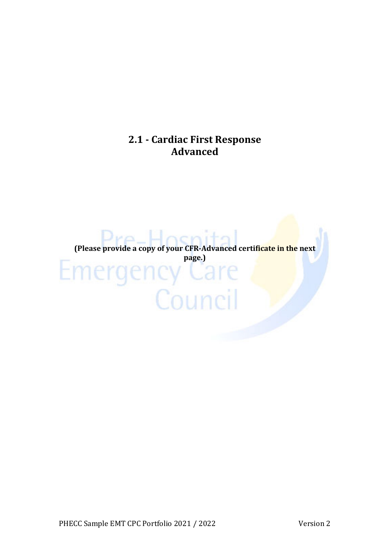#### **2.1 ‐ Cardiac First Response Advanced**

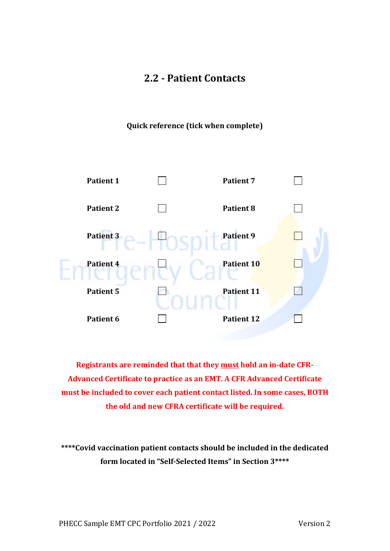#### **2.2 ‐ Patient Contacts**

**Quick reference (tick when complete)**



**Registrants are reminded that that they must hold an in‐date CFR‐ Advanced Certificate to practice as an EMT. A CFR Advanced Certificate must be included to cover each patient contact listed. In some cases, BOTH the old and new CFRA certificate will be required.**

**\*\*\*\*Covid vaccination patient contacts should be included in the dedicated form located in "Self‐Selected Items" in Section 3\*\*\*\***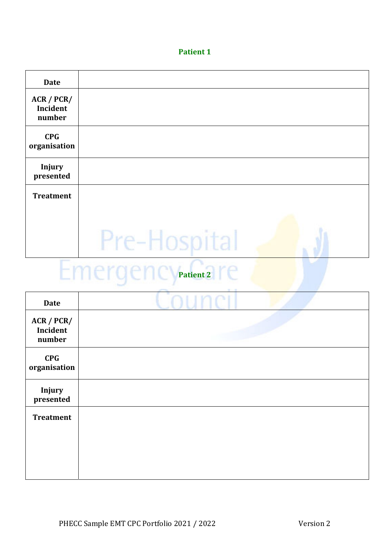| <b>Date</b>                      |                              |  |
|----------------------------------|------------------------------|--|
| ACR / PCR/<br>Incident<br>number |                              |  |
| <b>CPG</b><br>organisation       |                              |  |
| <b>Injury</b><br>presented       |                              |  |
| <b>Treatment</b>                 |                              |  |
|                                  |                              |  |
|                                  | Pre-Hospital                 |  |
|                                  | <b>EmergencyPatient 2 re</b> |  |

| <b>Date</b>                       |  |
|-----------------------------------|--|
| ACR / PCR /<br>Incident<br>number |  |
| <b>CPG</b><br>organisation        |  |
| Injury<br>presented               |  |
| <b>Treatment</b>                  |  |
|                                   |  |
|                                   |  |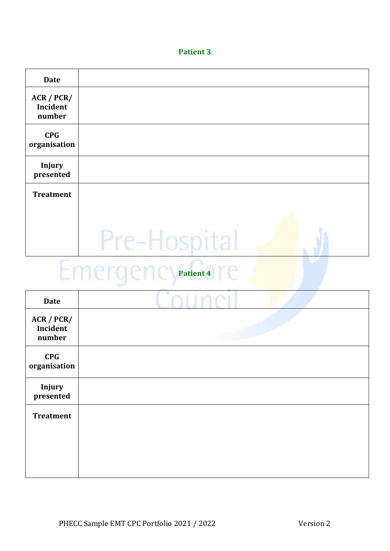| <b>Date</b>                      |              |  |
|----------------------------------|--------------|--|
| ACR / PCR/<br>Incident<br>number |              |  |
| <b>CPG</b><br>organisation       |              |  |
| <b>Injury</b><br>presented       |              |  |
| <b>Treatment</b>                 |              |  |
|                                  | Pre-Hospital |  |

## Emergency<sup>patient4</sup> re

| <b>Date</b>                      |  |
|----------------------------------|--|
| ACR / PCR/<br>Incident<br>number |  |
| CPG<br>organisation              |  |
| Injury<br>presented              |  |
| <b>Treatment</b>                 |  |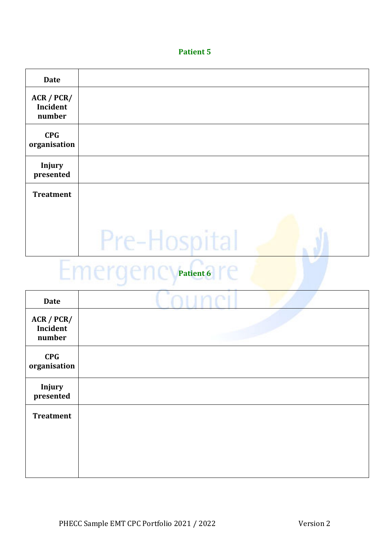| <b>Date</b>                      |              |  |
|----------------------------------|--------------|--|
| ACR / PCR/<br>Incident<br>number |              |  |
| <b>CPG</b><br>organisation       |              |  |
| <b>Injury</b><br>presented       |              |  |
| <b>Treatment</b>                 |              |  |
|                                  | Pre-Hospital |  |

## Emergency<sup>patient6</sup> re

| <b>Date</b>                      |  |
|----------------------------------|--|
| ACR / PCR/<br>Incident<br>number |  |
| <b>CPG</b><br>organisation       |  |
| Injury<br>presented              |  |
| <b>Treatment</b>                 |  |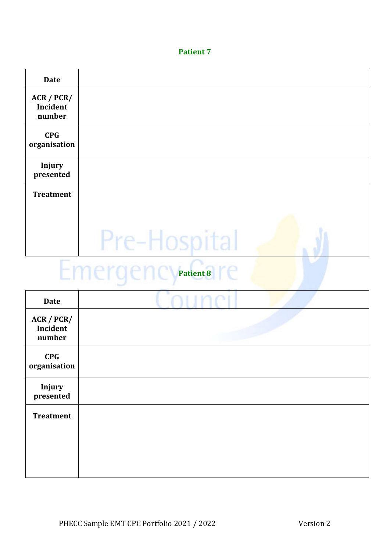| <b>Date</b>                      |              |  |
|----------------------------------|--------------|--|
| ACR / PCR/<br>Incident<br>number |              |  |
| <b>CPG</b><br>organisation       |              |  |
| <b>Injury</b><br>presented       |              |  |
| <b>Treatment</b>                 |              |  |
|                                  | Pre-Hospital |  |

## Emergency<sup>patient8</sup> re

| <b>Date</b>                      |  |
|----------------------------------|--|
| ACR / PCR/<br>Incident<br>number |  |
| <b>CPG</b><br>organisation       |  |
| Injury<br>presented              |  |
| <b>Treatment</b>                 |  |
|                                  |  |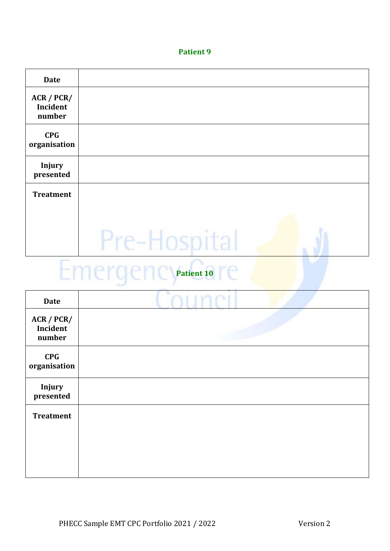| <b>Date</b>                      |              |  |
|----------------------------------|--------------|--|
| ACR / PCR/<br>Incident<br>number |              |  |
| <b>CPG</b><br>organisation       |              |  |
| Injury<br>presented              |              |  |
| <b>Treatment</b>                 |              |  |
|                                  | Pre-Hospital |  |

## Emergency<sup>patient 10</sup> re

| <b>Date</b>                      |  |
|----------------------------------|--|
| ACR / PCR/<br>Incident<br>number |  |
| CPG<br>organisation              |  |
| Injury<br>presented              |  |
| <b>Treatment</b>                 |  |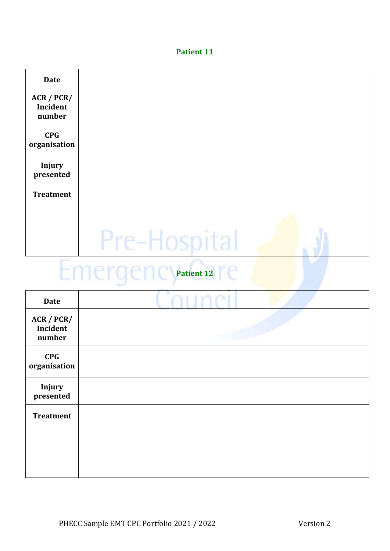| <b>Date</b>                      |              |  |
|----------------------------------|--------------|--|
| ACR / PCR/<br>Incident<br>number |              |  |
| <b>CPG</b><br>organisation       |              |  |
| <b>Injury</b><br>presented       |              |  |
| <b>Treatment</b>                 |              |  |
|                                  | Pre-Hospital |  |

## Emergency<sup>patient</sup><sup>12</sup> re

| <b>Date</b>                      |  |
|----------------------------------|--|
| ACR / PCR/<br>Incident<br>number |  |
| <b>CPG</b><br>organisation       |  |
| Injury<br>presented              |  |
| <b>Treatment</b>                 |  |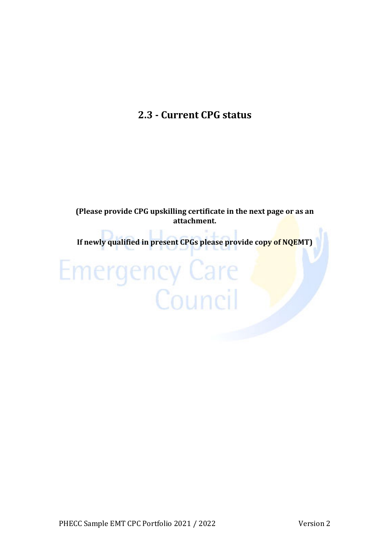#### **2.3 ‐ Current CPG status**

**(Please provide CPG upskilling certificate in the next page or as an attachment.**

**If newly qualified in present CPGs please provide copy of NQEMT)**

# **Emergency Care**<br>**Council**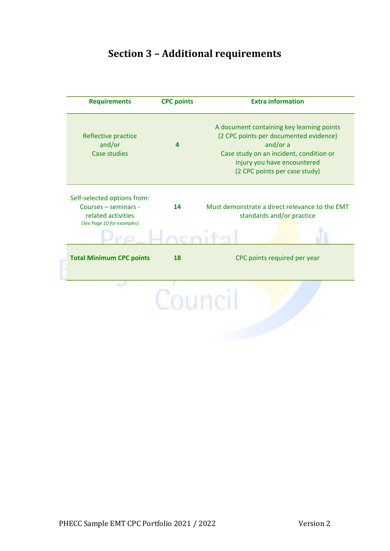#### **Section 3 – Additional requirements**

| <b>Requirements</b>                                                                                     | <b>CPC points</b> | <b>Extra information</b>                                                                                                                                                                                   |
|---------------------------------------------------------------------------------------------------------|-------------------|------------------------------------------------------------------------------------------------------------------------------------------------------------------------------------------------------------|
| Reflective practice<br>and/or<br><b>Case studies</b>                                                    | $\boldsymbol{a}$  | A document containing key learning points<br>(2 CPC points per documented evidence)<br>and/or a<br>Case study on an incident, condition or<br>injury you have encountered<br>(2 CPC points per case study) |
| Self-selected options from:<br>Courses - seminars -<br>related activities<br>(See Page 10 for examples) | 14                | Must demonstrate a direct relevance to the EMT<br>standards and/or practice                                                                                                                                |
|                                                                                                         |                   |                                                                                                                                                                                                            |
| <b>Total Minimum CPC points</b>                                                                         | 18                | CPC points required per year                                                                                                                                                                               |
|                                                                                                         | Counci            |                                                                                                                                                                                                            |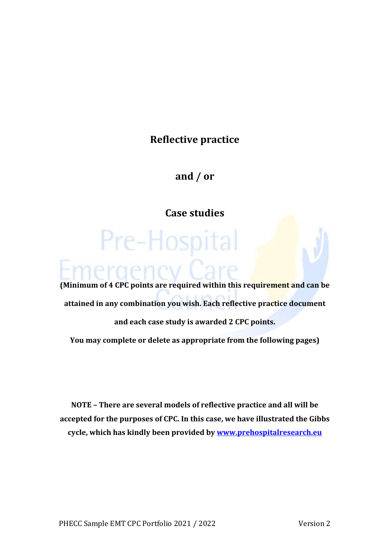#### **Reflective practice**

**and / or**

**Case studies**

Pre-Hospital

#### **(Minimum of 4 CPC points are required within this requirement and can be attained in any combination you wish. Each reflective practice document and each case study is awarded 2 CPC points. You may complete or delete as appropriate from the following pages)**

**NOTE – There are several models of reflective practice and all will be accepted for the purposes of CPC. In this case, we have illustrated the Gibbs cycle, which has kindly been provided by www.prehospitalresearch.eu**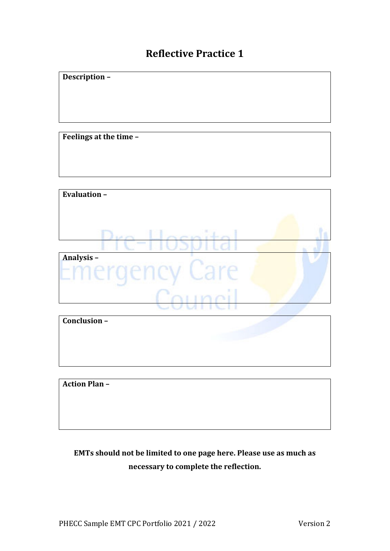#### **Reflective Practice 1**

**Description –** 

**Feelings at the time –** 

| <b>Evaluation -</b> |  |
|---------------------|--|
|                     |  |
|                     |  |
|                     |  |
| Analysis-           |  |
|                     |  |
|                     |  |
|                     |  |

| Conclusion- |  |
|-------------|--|
|             |  |
|             |  |
|             |  |
|             |  |

**Action Plan –** 

#### **EMTs should not be limited to one page here. Please use as much as necessary to complete the reflection.**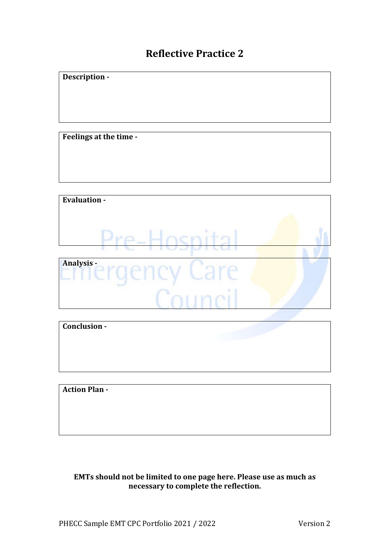#### **Reflective Practice 2**

**Feelings** at the time -

**Description** -



| Conclusion -         |  |
|----------------------|--|
|                      |  |
|                      |  |
|                      |  |
| <b>Action Plan -</b> |  |

**EMTs should not be limited to one page here. Please use as much as necessary to complete the reflection.**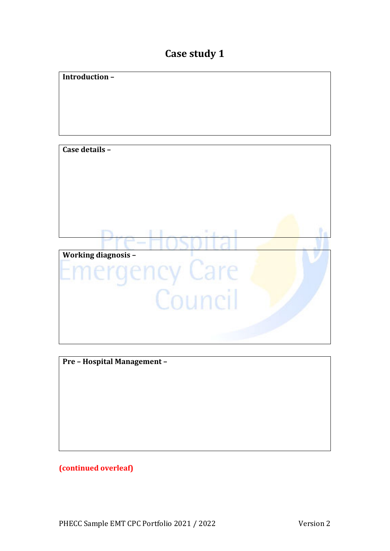#### **Case study 1**



**Pre** – **Hospital Management** –

**(continued overleaf)**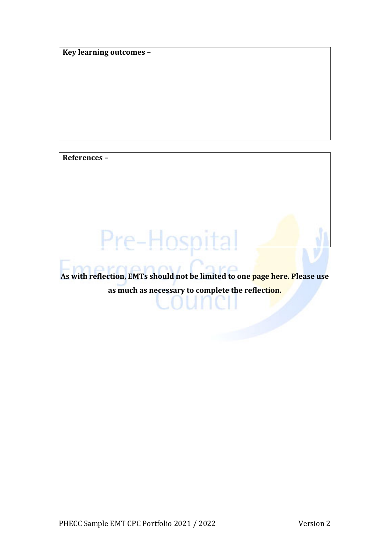**Key learning outcomes –** 

**References –** 

**As with reflection, EMTs should not be limited to one page here. Please use as much as necessary to complete the reflection.**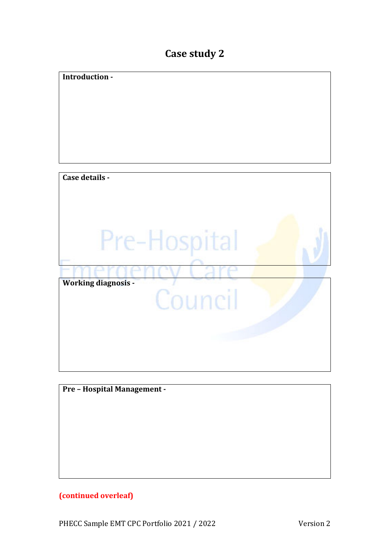#### **Case study 2**

| Introduction -              |
|-----------------------------|
|                             |
|                             |
|                             |
|                             |
|                             |
|                             |
|                             |
|                             |
|                             |
|                             |
|                             |
|                             |
| Case details -              |
|                             |
|                             |
|                             |
|                             |
|                             |
|                             |
|                             |
| Pre-Hospital                |
|                             |
|                             |
|                             |
|                             |
|                             |
| <b>Working diagnosis -</b>  |
|                             |
| Council                     |
|                             |
|                             |
|                             |
|                             |
|                             |
|                             |
|                             |
|                             |
|                             |
|                             |
|                             |
| Pre - Hospital Management - |
|                             |
|                             |
|                             |

#### **(continued overleaf)**

PHECC Sample EMT CPC Portfolio 2021 / 2022 Version 2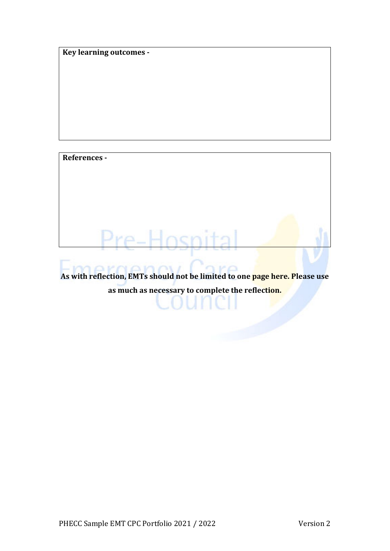**Key learning outcomes ‐** 

**References** -

**As with reflection, EMTs should not be limited to one page here. Please use as much as necessary to complete the reflection.**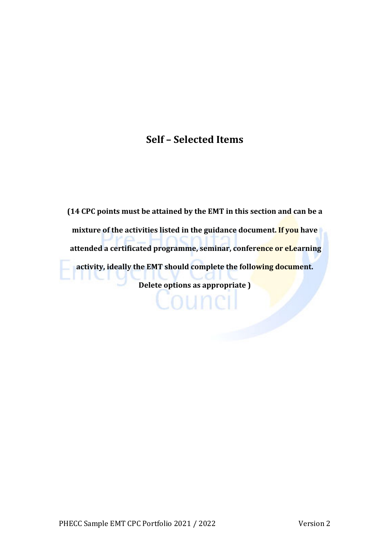#### **Self – Selected Items**

**(14 CPC points must be attained by the EMT in this section and can be a mixture of the activities listed in the guidance document. If you have attended a certificated programme, seminar, conference or eLearning activity, ideally the EMT should complete the following document. Delete options as appropriate )**

Louneil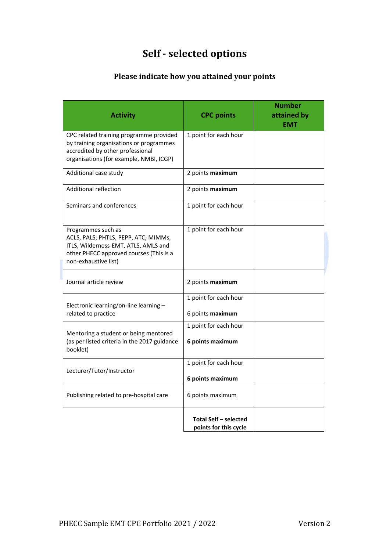#### **Self ‐ selected options**

#### **Please indicate how you attained your points**

| <b>Activity</b>                                                                                                                                                       | <b>CPC points</b>                                     | <b>Number</b><br>attained by<br>EMT |
|-----------------------------------------------------------------------------------------------------------------------------------------------------------------------|-------------------------------------------------------|-------------------------------------|
| CPC related training programme provided<br>by training organisations or programmes<br>accredited by other professional<br>organisations (for example, NMBI, ICGP)     | 1 point for each hour                                 |                                     |
| Additional case study                                                                                                                                                 | 2 points maximum                                      |                                     |
| Additional reflection                                                                                                                                                 | 2 points maximum                                      |                                     |
| Seminars and conferences                                                                                                                                              | 1 point for each hour                                 |                                     |
| Programmes such as<br>ACLS, PALS, PHTLS, PEPP, ATC, MIMMs,<br>ITLS, Wilderness-EMT, ATLS, AMLS and<br>other PHECC approved courses (This is a<br>non-exhaustive list) | 1 point for each hour                                 |                                     |
| Journal article review                                                                                                                                                | 2 points maximum                                      |                                     |
| Electronic learning/on-line learning -<br>related to practice                                                                                                         | 1 point for each hour<br>6 points maximum             |                                     |
| Mentoring a student or being mentored<br>(as per listed criteria in the 2017 guidance<br>booklet)                                                                     | 1 point for each hour<br>6 points maximum             |                                     |
| Lecturer/Tutor/Instructor                                                                                                                                             | 1 point for each hour<br>6 points maximum             |                                     |
| Publishing related to pre-hospital care                                                                                                                               | 6 points maximum                                      |                                     |
|                                                                                                                                                                       | <b>Total Self - selected</b><br>points for this cycle |                                     |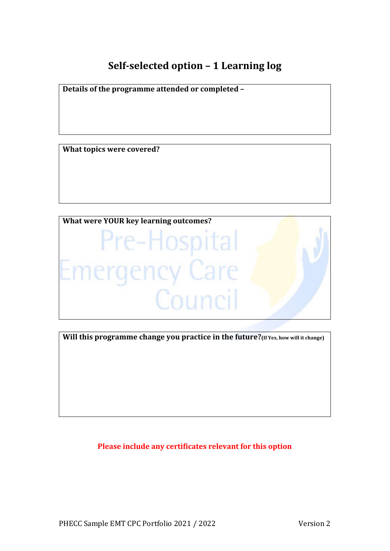#### **Self‐selected option – 1 Learning log**

**Details of the programme attended or completed – What topics were covered?** 



**Will this programme change you practice in the future?(If Yes, how will it change)**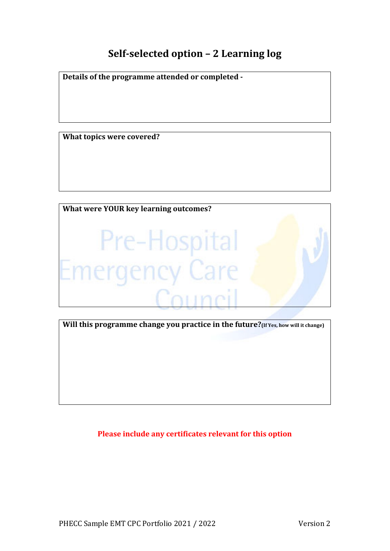#### **Self‐selected option – 2 Learning log**

**Details of the programme attended or completed ‐** 

**What topics were covered?**



**Will this programme change you practice in the future?(If Yes, how will it change)**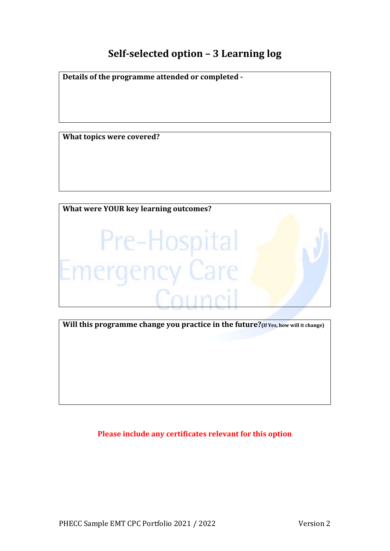#### **Self‐selected option – 3 Learning log**

**Details of the programme attended or completed ‐** 

**What topics were covered?**



**Will this programme change you practice in the future?(If Yes, how will it change)**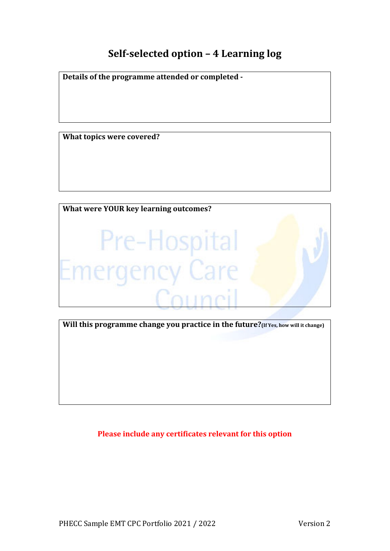#### **Self‐selected option – 4 Learning log**

**Details of the programme attended or completed ‐** 

**What topics were covered?**



**Will this programme change you practice in the future?(If Yes, how will it change)**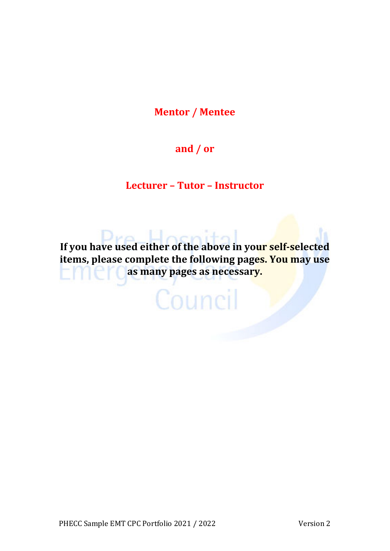**Mentor / Mentee**

#### **and / or**

#### **Lecturer – Tutor – Instructor**

cei **If you have used either of the above in your self‐selected items, please complete the following pages. You may use as many pages as necessary.**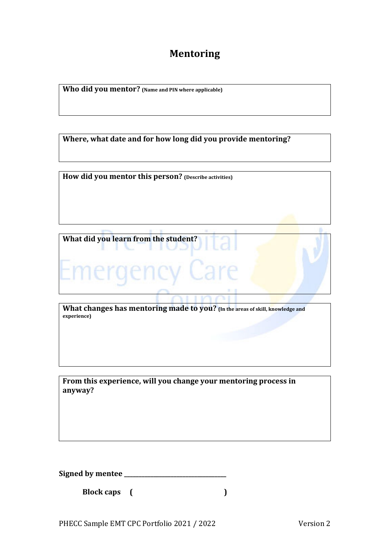#### **Mentoring**

**Who did you mentor? (Name and PIN where applicable)**

**Where, what date and for how long did you provide mentoring?**

**How did you mentor this person? (Describe activities)**

**What did you learn from the student?**

**What changes has mentoring made to you? (In the areas of skill, knowledge and experience)**

Шž

**From this experience, will you change your mentoring process in anyway?**

**Signed by mentee \_\_\_\_\_\_\_\_\_\_\_\_\_\_\_\_\_\_\_\_\_\_\_\_\_\_\_\_\_\_\_\_\_\_\_** 

**Block caps (**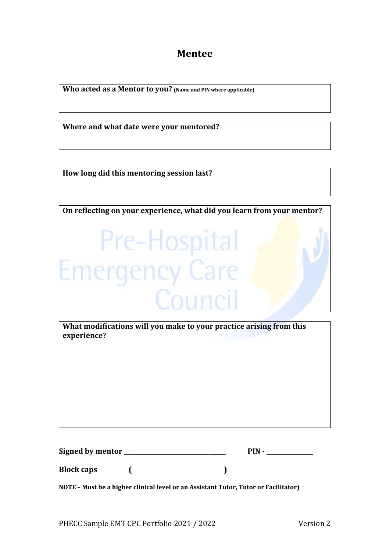**Mentee**

**Who acted as a Mentor to you? (Name and PIN where applicable)**

**Where and what date were your mentored?**

**How long did this mentoring session last?**



**What modifications will you make to your practice arising from this experience?**

| Signed by mentor | PIN |  |
|------------------|-----|--|
|                  |     |  |

**NOTE – Must be a higher clinical level or an Assistant Tutor, Tutor or Facilitator)**

**Block caps ( )**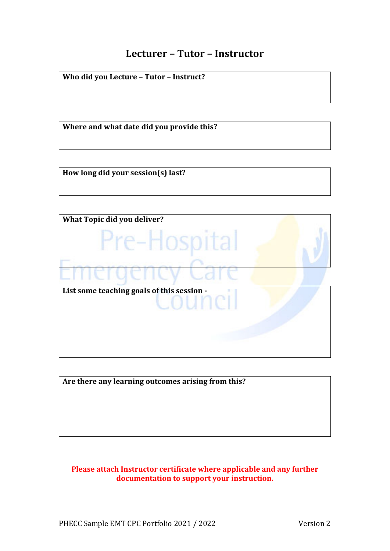#### **Lecturer – Tutor – Instructor**

**Who did you Lecture – Tutor – Instruct?**

**Where and what date did you provide this?**

**How long did your session(s) last?**



**Are there any learning outcomes arising from this?**

#### **Please attach Instructor certificate where applicable and any further documentation to support your instruction.**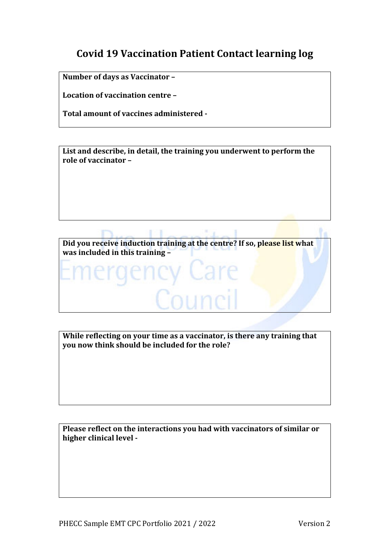#### **Covid 19 Vaccination Patient Contact learning log**

**Number of days as Vaccinator –** 

**Location of vaccination centre –** 

**Total amount of vaccines administered ‐** 

**List and describe, in detail, the training you underwent to perform the role of vaccinator –** 



**While reflecting on your time as a vaccinator, is there any training that you now think should be included for the role?**

**Please reflect on the interactions you had with vaccinators of similar or higher clinical level ‐**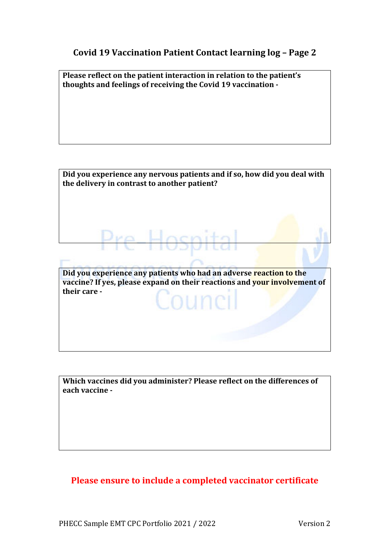#### **Covid 19 Vaccination Patient Contact learning log – Page 2**

**Please reflect on the patient interaction in relation to the patient's thoughts and feelings of receiving the Covid 19 vaccination ‐**

**Did you experience any nervous patients and if so, how did you deal with the delivery in contrast to another patient?**

**Did you experience any patients who had an adverse reaction to the vaccine? If yes, please expand on their reactions and your involvement of their care** –

Pre-Hosp

**Which vaccines did you administer? Please reflect on the differences of each vaccine** -

#### **Please ensure to include a completed vaccinator certificate**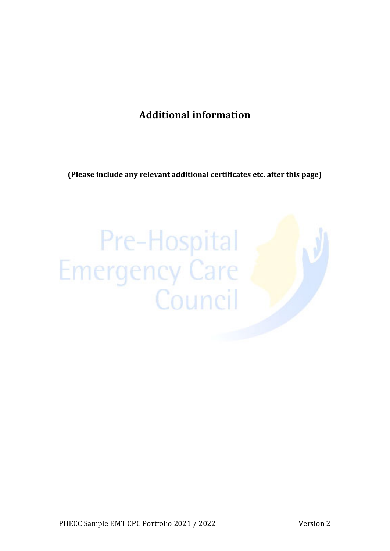#### **Additional information**

**(Please include any relevant additional certificates etc. after this page)**

## Pre-Hospital Emergency Care<br>Council